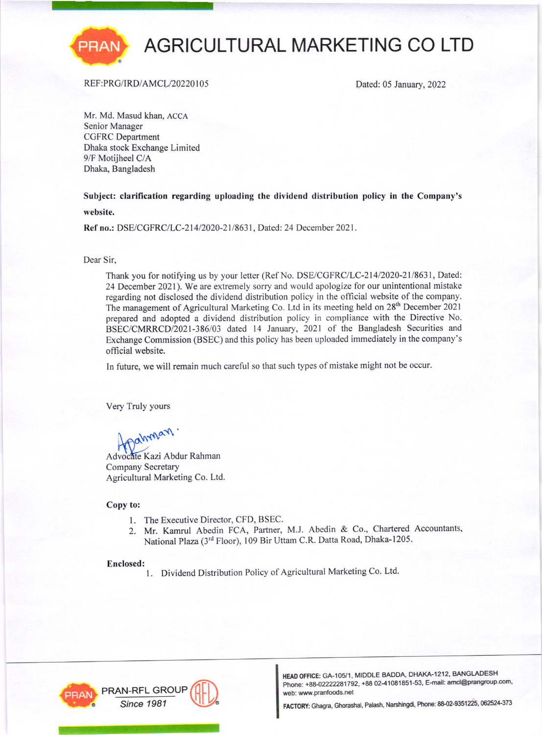

# AGRICULTURAL MARKETING CO LTD

### REF:PRG/IRD/AMCL/20220105

Dated: 05 January, 2022

Mr. Md. Masud khan, ACCA Senior Manager CGFRC Department Dhaka stock Exchange Limited 9/F Motijheel C/A Dhaka, Bangladesh

Subject: clarification regarding uploading the dividend distribution policy in the Company's website.

Ref no.: DSE/CGFRC/LC-214/2020-21/8631, Dated: 24 December 2021.

Dear Sir,

Thank you for notifying us by your letter (Ref No. DSE/CGFRC/LC-214/2020-21/8631, Dated: 24 December 2021). We are extremely sorry and would apologize for our unintentional mistake regarding not disclosed the dividend distribution policy in the official website of the company. The management of Agricultural Marketing Co. Ltd in its meeting held on 28<sup>th</sup> December 2021 prepared and adopted a dividend distribution policy in compliance with the Directive No. BSEC/CMRRCD/2021-386/03 dated 14 January, 2021 of the Bangladesh Securities and Exchange Commission (BSEC) and this policy has been uploaded immediately in the company's official website.

In future, we will remain much careful so that such types of mistake might not be occur.

Very Truly yours

HDahman

Advocate Kazi Abdur Rahman Company Secretary Agricultural Marketing Co. Ltd.

#### Copy to:

- 1. The Executive Director, CFD, BSEC.
- 2. Mr. Kamrul Abedin FCA, Partner, M.J. Abedin & Co., Chartered Accountants, National Plaza (3rd Floor), 109 Bir Uttam C.R. Datta Road, Dhaka-1205.

#### Enclosed:

1. Dividend Distribution Policy of Agricultural Marketing Co. Ltd.



HEAD OFFICE: GA-105/1, MIDDLE BADDA, DHAKA-1212, BANGLADESH Phone: +88-02222281792, +88 02-41081851-53, E-mail: amcl@prangroup.com,<br>web: www.pranfoods.net

Since 1981 MILLINE FACTORY: Ghagra, Ghorashal, Palash, Narshingdi, Phone: 88-02-9351225, 062524-373